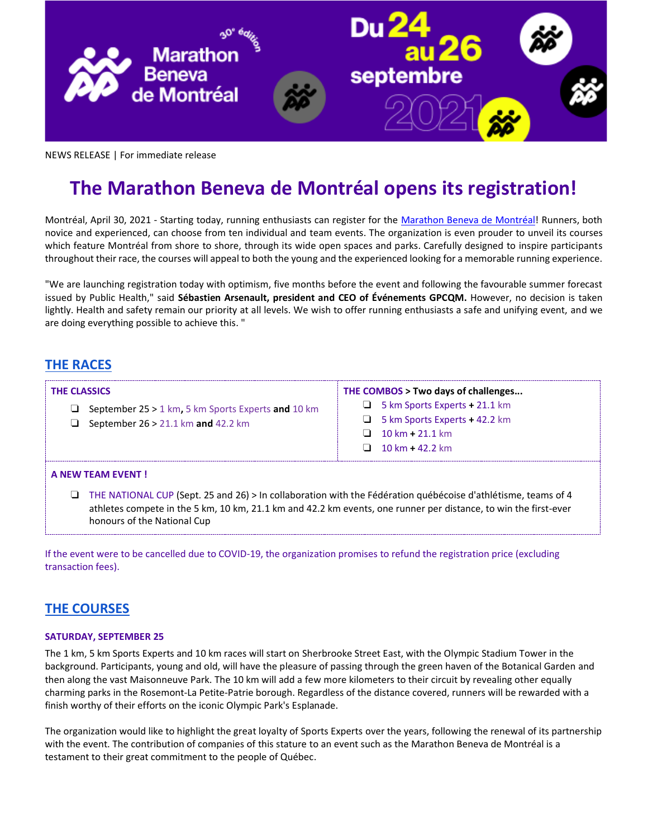

NEWS RELEASE | For immediate release

# **The Marathon Beneva de Montréal opens its registration!**

Montréal, April 30, 2021 - Starting today, running enthusiasts can register for the [Marathon Beneva de Montréal!](https://mtlmarathon.com/) Runners, both novice and experienced, can choose from ten individual and team events. The organization is even prouder to unveil its courses which feature Montréal from shore to shore, through its wide open spaces and parks. Carefully designed to inspire participants throughout their race, the courses will appeal to both the young and the experienced looking for a memorable running experience.

"We are launching registration today with optimism, five months before the event and following the favourable summer forecast issued by Public Health," said **Sébastien Arsenault, president and CEO of Événements GPCQM.** However, no decision is taken lightly. Health and safety remain our priority at all levels. We wish to offer running enthusiasts a safe and unifying event, and we are doing everything possible to achieve this. "

# **[THE RACES](https://mtlmarathon.com/en/participate/the-races/)**

#### **THE CLASSICS**

- ❏ September 25 > 1 km**,** 5 km Sports Experts **and** 10 km
- ❏ September 26 > 21.1 km **and** 42.2 km

#### **THE COMBOS > Two days of challenges...**

- ❏ 5 km Sports Experts **+** 21.1 km
- ❏ 5 km Sports Experts **+** 42.2 km
- ❏ 10 km **+** 21.1 km
- ❏ 10 km **+** 42.2 km

### **A NEW TEAM EVENT !**

❏ THE NATIONAL CUP (Sept. 25 and 26) > In collaboration with the Fédération québécoise d'athlétisme, teams of 4 athletes compete in the 5 km, 10 km, 21.1 km and 42.2 km events, one runner per distance, to win the first-ever honours of the National Cup

If the event were to be cancelled due to COVID-19, the organization promises to refund the registration price (excluding transaction fees).

# **[THE COURSES](https://mtlmarathon.com/en/participate/the-courses/)**

#### **SATURDAY, SEPTEMBER 25**

The 1 km, 5 km Sports Experts and 10 km races will start on Sherbrooke Street East, with the Olympic Stadium Tower in the background. Participants, young and old, will have the pleasure of passing through the green haven of the Botanical Garden and then along the vast Maisonneuve Park. The 10 km will add a few more kilometers to their circuit by revealing other equally charming parks in the Rosemont-La Petite-Patrie borough. Regardless of the distance covered, runners will be rewarded with a finish worthy of their efforts on the iconic Olympic Park's Esplanade.

The organization would like to highlight the great loyalty of Sports Experts over the years, following the renewal of its partnership with the event. The contribution of companies of this stature to an event such as the Marathon Beneva de Montréal is a testament to their great commitment to the people of Québec.